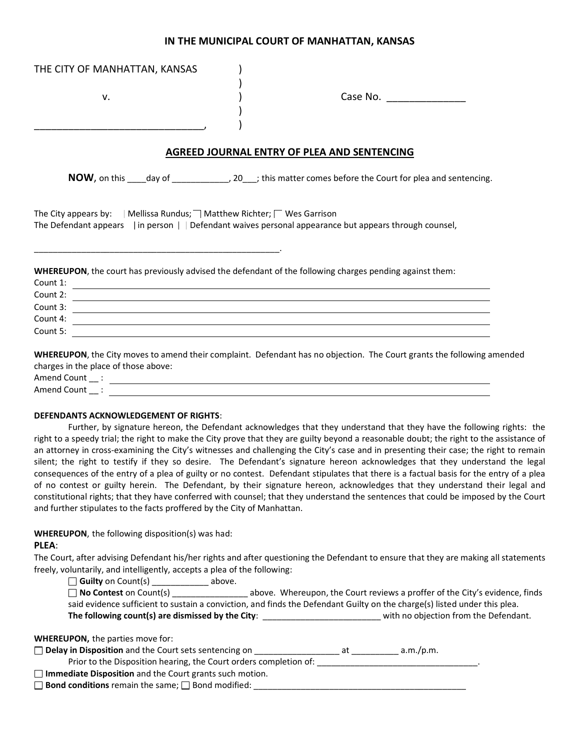# **IN THE MUNICIPAL COURT OF MANHATTAN, KANSAS**

| THE CITY OF MANHATTAN, KANSAS                                                                                    |                                                                                                                                                                                                                                                                                                                                                                                                                                                                                                                                                                                                                                                                                                                                                                                                                                                                                                                                                              |
|------------------------------------------------------------------------------------------------------------------|--------------------------------------------------------------------------------------------------------------------------------------------------------------------------------------------------------------------------------------------------------------------------------------------------------------------------------------------------------------------------------------------------------------------------------------------------------------------------------------------------------------------------------------------------------------------------------------------------------------------------------------------------------------------------------------------------------------------------------------------------------------------------------------------------------------------------------------------------------------------------------------------------------------------------------------------------------------|
| v.                                                                                                               | Case No. 2008                                                                                                                                                                                                                                                                                                                                                                                                                                                                                                                                                                                                                                                                                                                                                                                                                                                                                                                                                |
|                                                                                                                  | AGREED JOURNAL ENTRY OF PLEA AND SENTENCING                                                                                                                                                                                                                                                                                                                                                                                                                                                                                                                                                                                                                                                                                                                                                                                                                                                                                                                  |
|                                                                                                                  | NOW, on this ____ day of ______________, 20___; this matter comes before the Court for plea and sentencing.                                                                                                                                                                                                                                                                                                                                                                                                                                                                                                                                                                                                                                                                                                                                                                                                                                                  |
| The City appears by: $\parallel$ Mellissa Rundus; $\parallel$ Matthew Richter; $\parallel$ Wes Garrison          | The Defendant appears $\overline{\phantom{a}}$ in person $\overline{\phantom{a}}$ Defendant waives personal appearance but appears through counsel,                                                                                                                                                                                                                                                                                                                                                                                                                                                                                                                                                                                                                                                                                                                                                                                                          |
| Count 1:<br>Count 2:<br>Count 3:<br>Count 4:                                                                     | WHEREUPON, the court has previously advised the defendant of the following charges pending against them:<br><u> 1989 - Johann Stein, mars an deutscher Stein und der Stein und der Stein und der Stein und der Stein und der</u><br><u> 1989 - Johann John Stein, markin film ar yn y brenin y brenin y brenin y brenin y brenin y brenin y brenin y</u>                                                                                                                                                                                                                                                                                                                                                                                                                                                                                                                                                                                                     |
| Count 5:<br>charges in the place of those above:                                                                 | WHEREUPON, the City moves to amend their complaint. Defendant has no objection. The Court grants the following amended                                                                                                                                                                                                                                                                                                                                                                                                                                                                                                                                                                                                                                                                                                                                                                                                                                       |
| DEFENDANTS ACKNOWLEDGEMENT OF RIGHTS:<br>and further stipulates to the facts proffered by the City of Manhattan. | Further, by signature hereon, the Defendant acknowledges that they understand that they have the following rights: the<br>right to a speedy trial; the right to make the City prove that they are guilty beyond a reasonable doubt; the right to the assistance of<br>an attorney in cross-examining the City's witnesses and challenging the City's case and in presenting their case; the right to remain<br>silent; the right to testify if they so desire. The Defendant's signature hereon acknowledges that they understand the legal<br>consequences of the entry of a plea of guilty or no contest. Defendant stipulates that there is a factual basis for the entry of a plea<br>of no contest or guilty herein. The Defendant, by their signature hereon, acknowledges that they understand their legal and<br>constitutional rights; that they have conferred with counsel; that they understand the sentences that could be imposed by the Court |
| WHEREUPON, the following disposition(s) was had:                                                                 |                                                                                                                                                                                                                                                                                                                                                                                                                                                                                                                                                                                                                                                                                                                                                                                                                                                                                                                                                              |

#### **PLEA**:

The Court, after advising Defendant his/her rights and after questioning the Defendant to ensure that they are making all statements freely, voluntarily, and intelligently, accepts a plea of the following:

□ **Guilty** on Count(s) \_\_\_\_\_\_\_\_\_\_\_\_ above.

| $\Box$ No Contest on Count(s)                                                                                             |  | above. Whereupon, the Court reviews a proffer of the City's evidence, finds |
|---------------------------------------------------------------------------------------------------------------------------|--|-----------------------------------------------------------------------------|
| said evidence sufficient to sustain a conviction, and finds the Defendant Guilty on the charge(s) listed under this plea. |  |                                                                             |
| The following count(s) are dismissed by the City:                                                                         |  | with no objection from the Defendant.                                       |

|  |  | <b>WHEREUPON, the parties move for:</b> |  |
|--|--|-----------------------------------------|--|
|--|--|-----------------------------------------|--|

| □ Delay in Disposition and the Court sets sentencing on |  | a.m./p.m. |
|---------------------------------------------------------|--|-----------|
|---------------------------------------------------------|--|-----------|

Prior to the Disposition hearing, the Court orders completion of:  $\blacksquare$ 

**Immediate Disposition** and the Court grants such motion.

**Bond conditions** remain the same; Bond modified: \_\_\_\_\_\_\_\_\_\_\_\_\_\_\_\_\_\_\_\_\_\_\_\_\_\_\_\_\_\_\_\_\_\_\_\_\_\_\_\_\_\_\_\_\_